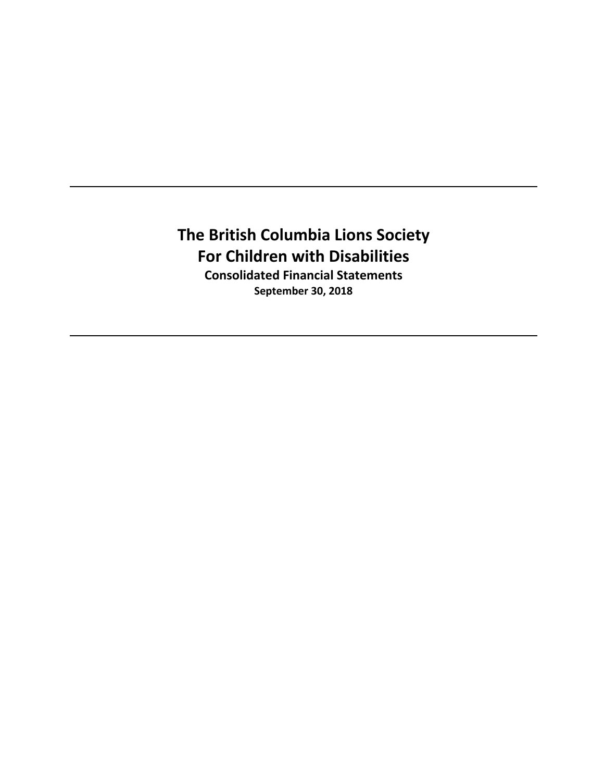**Consolidated Financial Statements September 30, 2018**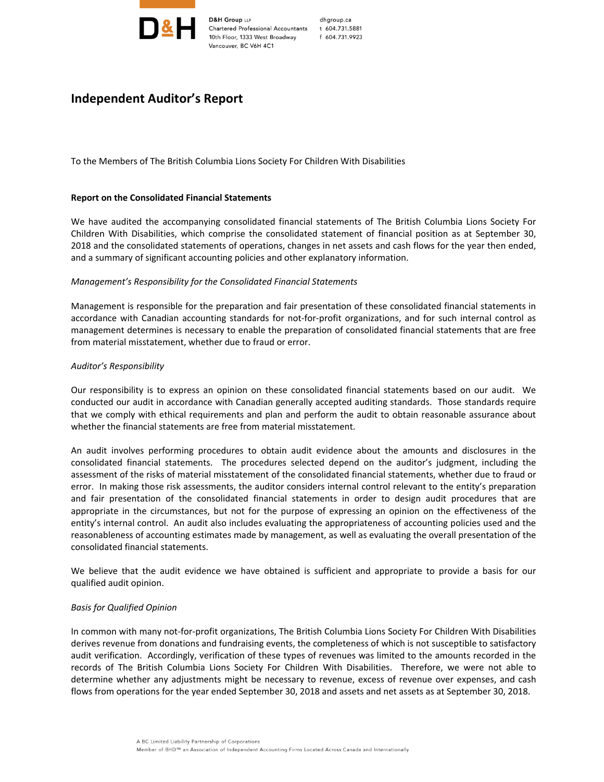

D&H Group LLP Chartered Professional Accountants t 604.731.5881 10th Floor, 1333 West Broadway Vancouver, BC V6H 4C1

dhgroup.ca f 604.731.9923

### **Independent Auditor's Report**

To the Members of The British Columbia Lions Society For Children With Disabilities

#### **Report on the Consolidated Financial Statements**

We have audited the accompanying consolidated financial statements of The British Columbia Lions Society For Children With Disabilities, which comprise the consolidated statement of financial position as at September 30, 2018 and the consolidated statements of operations, changes in net assets and cash flows for the year then ended, and a summary of significant accounting policies and other explanatory information.

#### *Management's Responsibility for the Consolidated Financial Statements*

Management is responsible for the preparation and fair presentation of these consolidated financial statements in accordance with Canadian accounting standards for not-for-profit organizations, and for such internal control as management determines is necessary to enable the preparation of consolidated financial statements that are free from material misstatement, whether due to fraud or error.

#### *Auditor's Responsibility*

Our responsibility is to express an opinion on these consolidated financial statements based on our audit. We conducted our audit in accordance with Canadian generally accepted auditing standards. Those standards require that we comply with ethical requirements and plan and perform the audit to obtain reasonable assurance about whether the financial statements are free from material misstatement.

An audit involves performing procedures to obtain audit evidence about the amounts and disclosures in the consolidated financial statements. The procedures selected depend on the auditor's judgment, including the assessment of the risks of material misstatement of the consolidated financial statements, whether due to fraud or error. In making those risk assessments, the auditor considers internal control relevant to the entity's preparation and fair presentation of the consolidated financial statements in order to design audit procedures that are appropriate in the circumstances, but not for the purpose of expressing an opinion on the effectiveness of the entity's internal control. An audit also includes evaluating the appropriateness of accounting policies used and the reasonableness of accounting estimates made by management, as well as evaluating the overall presentation of the consolidated financial statements.

We believe that the audit evidence we have obtained is sufficient and appropriate to provide a basis for our qualified audit opinion.

#### *Basis for Qualified Opinion*

In common with many not-for-profit organizations, The British Columbia Lions Society For Children With Disabilities derives revenue from donations and fundraising events, the completeness of which is not susceptible to satisfactory audit verification. Accordingly, verification of these types of revenues was limited to the amounts recorded in the records of The British Columbia Lions Society For Children With Disabilities. Therefore, we were not able to determine whether any adjustments might be necessary to revenue, excess of revenue over expenses, and cash flows from operations for the year ended September 30, 2018 and assets and net assets as at September 30, 2018.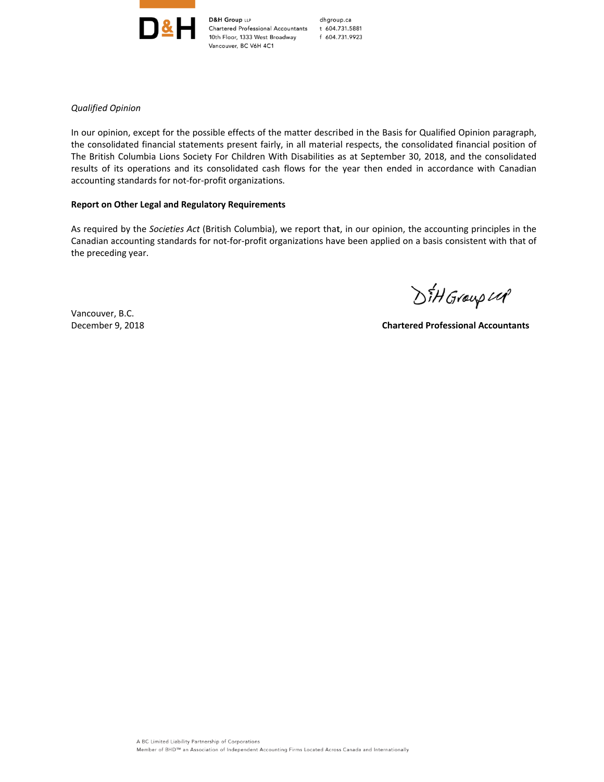

D&H Group LLP Chartered Professional Accountants t 604.731.5881 10th Floor, 1333 West Broadway Vancouver, BC V6H 4C1

dhgroup.ca f 604.731.9923

#### *Qualified O Opinion*

In our opinion, except for the possible effects of the matter described in the Basis for Qualified Opinion paragraph, the consolidated financial statements present fairly, in all material respects, the consolidated financial position of The British Columbia Lions Society For Children With Disabilities as at September 30, 2018, and the consolidated results of its operations and its consolidated cash flows for the year then ended in accordance with Canadian accounting standards for not-for-profit organizations.

#### **Report on Other Legal and Regulatory Requirements**

As required by the Societies Act (British Columbia), we report that, in our opinion, the accounting principles in the Canadian accounting standards for not-for-profit organizations have been applied on a basis consistent with that of the preced ding year.

DiH Group up

Vancouver, B.C. December 9, 2018

**Chartered Professional Accountants**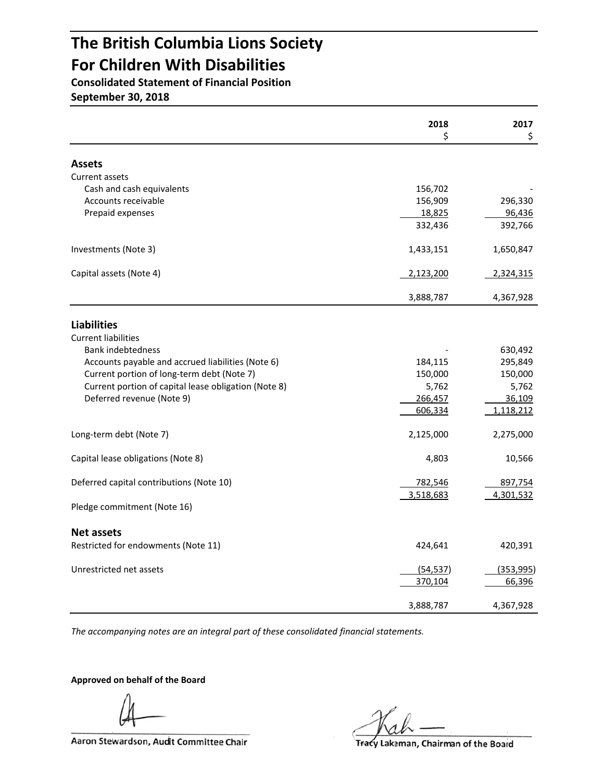### **The British Columbia Lions Society For Ch hildren W With Dis sabilities Consolidated Statement of Financial Position**

**Septemb ber 30, 2018**

|                                                      | 2018<br>\$ | 2017<br>\$ |
|------------------------------------------------------|------------|------------|
| <b>Assets</b>                                        |            |            |
|                                                      |            |            |
| Current assets                                       |            |            |
| Cash and cash equivalents                            | 156,702    |            |
| Accounts receivable                                  | 156,909    | 296,330    |
| Prepaid expenses                                     | 18,825     | 96,436     |
|                                                      | 332,436    | 392,766    |
| Investments (Note 3)                                 | 1,433,151  | 1,650,847  |
| Capital assets (Note 4)                              | 2,123,200  | 2,324,315  |
|                                                      | 3,888,787  | 4,367,928  |
|                                                      |            |            |
| <b>Liabilities</b>                                   |            |            |
| <b>Current liabilities</b>                           |            |            |
| <b>Bank indebtedness</b>                             |            | 630,492    |
| Accounts payable and accrued liabilities (Note 6)    | 184,115    | 295,849    |
| Current portion of long-term debt (Note 7)           | 150,000    | 150,000    |
| Current portion of capital lease obligation (Note 8) | 5,762      | 5,762      |
| Deferred revenue (Note 9)                            | 266,457    | 36,109     |
|                                                      | 606,334    | 1,118,212  |
| Long-term debt (Note 7)                              | 2,125,000  | 2,275,000  |
| Capital lease obligations (Note 8)                   | 4,803      | 10,566     |
| Deferred capital contributions (Note 10)             | 782,546    | 897,754    |
|                                                      | 3,518,683  | 4,301,532  |
| Pledge commitment (Note 16)                          |            |            |
| <b>Net assets</b>                                    |            |            |
| Restricted for endowments (Note 11)                  | 424,641    | 420,391    |
| Unrestricted net assets                              | (54, 537)  | (353,995)  |
|                                                      | 370,104    | 66,396     |
|                                                      | 3,888,787  | 4,367,928  |

The accompanying notes are an integral part of these consolidated financial statements.

**Approved on behalf of t he Board** 

 $\sim$   $\sim$ 

 $\sim$ 

 $\angle$  ra  $u \sim -1$ 

**Aaron Stew wardson, Audi it Committee C Chair** 

 $\mathcal{L}_\text{max}$ 

**Tracy Lakeman, Chairman of the Board**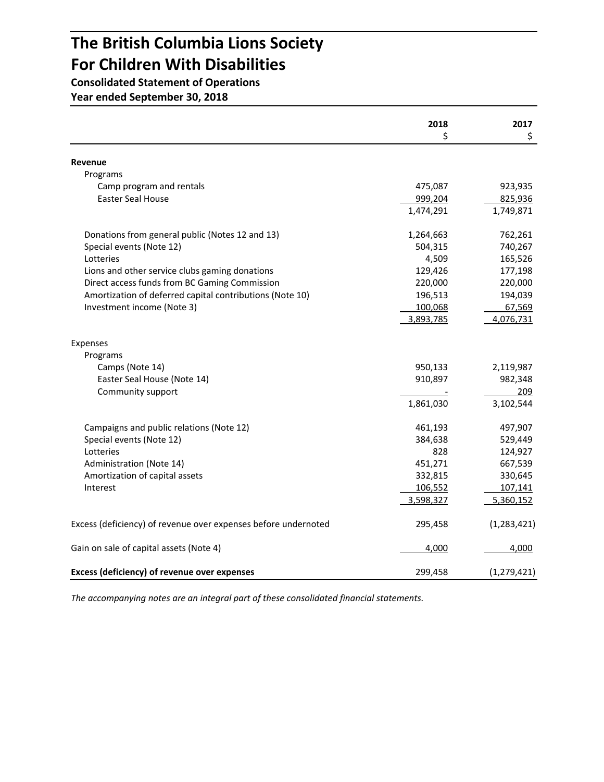### **Consolidated Statement of Operations Year ended September 30, 2018**

|                                                                | 2018<br>\$ | 2017<br>\$    |
|----------------------------------------------------------------|------------|---------------|
| <b>Revenue</b>                                                 |            |               |
| Programs                                                       |            |               |
| Camp program and rentals                                       | 475,087    | 923,935       |
| <b>Easter Seal House</b>                                       | 999,204    | 825,936       |
|                                                                | 1,474,291  | 1,749,871     |
| Donations from general public (Notes 12 and 13)                | 1,264,663  | 762,261       |
| Special events (Note 12)                                       | 504,315    | 740,267       |
| Lotteries                                                      | 4,509      | 165,526       |
| Lions and other service clubs gaming donations                 | 129,426    | 177,198       |
| Direct access funds from BC Gaming Commission                  | 220,000    | 220,000       |
| Amortization of deferred capital contributions (Note 10)       | 196,513    | 194,039       |
| Investment income (Note 3)                                     | 100,068    | 67,569        |
|                                                                | 3,893,785  | 4,076,731     |
| Expenses                                                       |            |               |
| Programs                                                       |            |               |
| Camps (Note 14)                                                | 950,133    | 2,119,987     |
| Easter Seal House (Note 14)                                    | 910,897    | 982,348       |
| Community support                                              |            | 209           |
|                                                                | 1,861,030  | 3,102,544     |
| Campaigns and public relations (Note 12)                       | 461,193    | 497,907       |
| Special events (Note 12)                                       | 384,638    | 529,449       |
| Lotteries                                                      | 828        | 124,927       |
| Administration (Note 14)                                       | 451,271    | 667,539       |
| Amortization of capital assets                                 | 332,815    | 330,645       |
| Interest                                                       | 106,552    | 107,141       |
|                                                                | 3,598,327  | 5,360,152     |
| Excess (deficiency) of revenue over expenses before undernoted | 295,458    | (1, 283, 421) |
| Gain on sale of capital assets (Note 4)                        | 4,000      | 4,000         |
| Excess (deficiency) of revenue over expenses                   | 299,458    | (1, 279, 421) |

*The accompanying notes are an integral part of these consolidated financial statements.*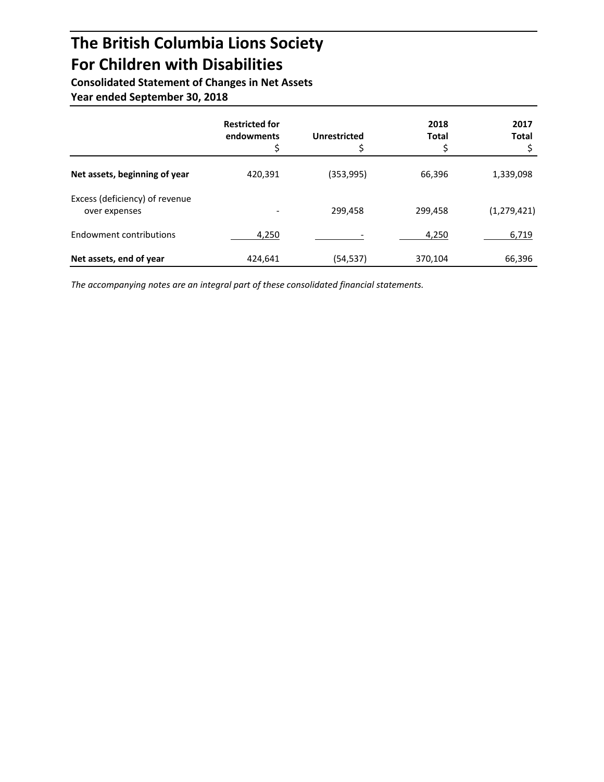### **Consolidated Statement of Changes in Net Assets**

**Year ended September 30, 2018** 

|                                                 | <b>Restricted for</b><br>endowments<br>\$ | <b>Unrestricted</b><br>\$ | 2018<br><b>Total</b><br>\$ | 2017<br><b>Total</b> |
|-------------------------------------------------|-------------------------------------------|---------------------------|----------------------------|----------------------|
| Net assets, beginning of year                   | 420,391                                   | (353,995)                 | 66,396                     | 1,339,098            |
| Excess (deficiency) of revenue<br>over expenses |                                           | 299,458                   | 299,458                    | (1, 279, 421)        |
| Endowment contributions                         | 4,250                                     |                           | 4,250                      | 6,719                |
| Net assets, end of year                         | 424,641                                   | (54,537)                  | 370,104                    | 66,396               |

*The accompanying notes are an integral part of these consolidated financial statements.*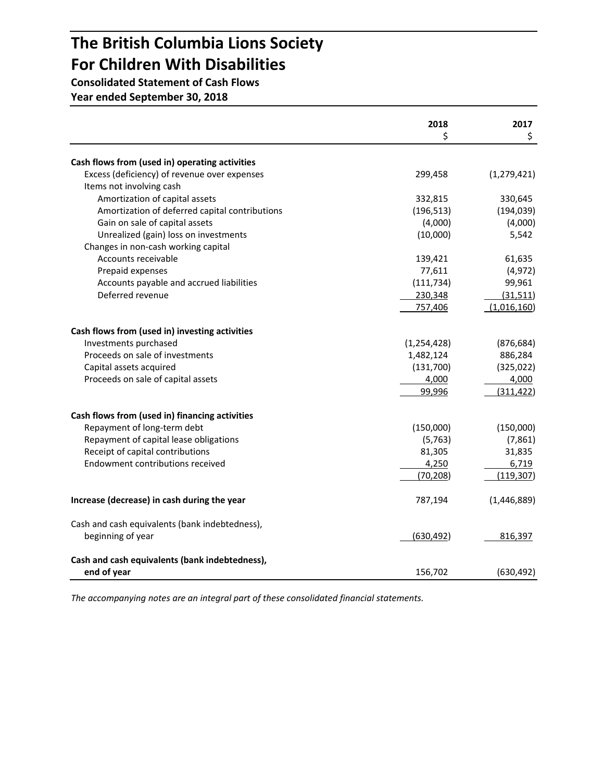**Consolidated Statement of Cash Flows Year ended September 30, 2018** 

|                                                | 2018<br>\$    | 2017<br>\$    |
|------------------------------------------------|---------------|---------------|
| Cash flows from (used in) operating activities |               |               |
| Excess (deficiency) of revenue over expenses   | 299,458       | (1, 279, 421) |
| Items not involving cash                       |               |               |
| Amortization of capital assets                 | 332,815       | 330,645       |
| Amortization of deferred capital contributions | (196, 513)    | (194, 039)    |
| Gain on sale of capital assets                 | (4,000)       | (4,000)       |
| Unrealized (gain) loss on investments          | (10,000)      | 5,542         |
| Changes in non-cash working capital            |               |               |
| Accounts receivable                            | 139,421       | 61,635        |
| Prepaid expenses                               | 77,611        | (4, 972)      |
| Accounts payable and accrued liabilities       | (111, 734)    | 99,961        |
| Deferred revenue                               | 230,348       | (31,511)      |
|                                                | 757,406       | (1,016,160)   |
| Cash flows from (used in) investing activities |               |               |
| Investments purchased                          | (1, 254, 428) | (876, 684)    |
| Proceeds on sale of investments                | 1,482,124     | 886,284       |
| Capital assets acquired                        | (131, 700)    | (325, 022)    |
| Proceeds on sale of capital assets             | 4,000         | 4,000         |
|                                                | 99,996        | (311, 422)    |
| Cash flows from (used in) financing activities |               |               |
| Repayment of long-term debt                    | (150,000)     | (150,000)     |
| Repayment of capital lease obligations         | (5, 763)      | (7,861)       |
| Receipt of capital contributions               | 81,305        | 31,835        |
| Endowment contributions received               | 4,250         | 6,719         |
|                                                | (70, 208)     | (119, 307)    |
| Increase (decrease) in cash during the year    | 787,194       | (1,446,889)   |
| Cash and cash equivalents (bank indebtedness), |               |               |
| beginning of year                              | (630, 492)    | 816,397       |
| Cash and cash equivalents (bank indebtedness), |               |               |
| end of year                                    | 156,702       | (630, 492)    |

*The accompanying notes are an integral part of these consolidated financial statements.*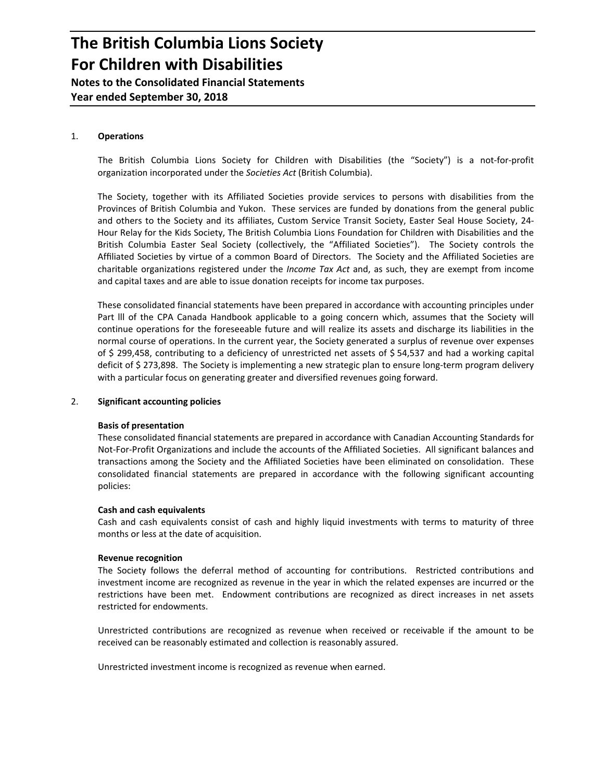### **Notes to the Consolidated Financial Statements Year ended September 30, 2018**

#### 1. **Operations**

 The British Columbia Lions Society for Children with Disabilities (the "Society") is a not-for-profit organization incorporated under the *Societies Act* (British Columbia).

The Society, together with its Affiliated Societies provide services to persons with disabilities from the Provinces of British Columbia and Yukon. These services are funded by donations from the general public and others to the Society and its affiliates, Custom Service Transit Society, Easter Seal House Society, 24- Hour Relay for the Kids Society, The British Columbia Lions Foundation for Children with Disabilities and the British Columbia Easter Seal Society (collectively, the "Affiliated Societies"). The Society controls the Affiliated Societies by virtue of a common Board of Directors. The Society and the Affiliated Societies are charitable organizations registered under the *Income Tax Act* and, as such, they are exempt from income and capital taxes and are able to issue donation receipts for income tax purposes.

These consolidated financial statements have been prepared in accordance with accounting principles under Part lll of the CPA Canada Handbook applicable to a going concern which, assumes that the Society will continue operations for the foreseeable future and will realize its assets and discharge its liabilities in the normal course of operations. In the current year, the Society generated a surplus of revenue over expenses of \$ 299,458, contributing to a deficiency of unrestricted net assets of \$ 54,537 and had a working capital deficit of \$ 273,898. The Society is implementing a new strategic plan to ensure long-term program delivery with a particular focus on generating greater and diversified revenues going forward.

#### 2. **Significant accounting policies**

#### **Basis of presentation**

These consolidated financial statements are prepared in accordance with Canadian Accounting Standards for Not-For-Profit Organizations and include the accounts of the Affiliated Societies. All significant balances and transactions among the Society and the Affiliated Societies have been eliminated on consolidation. These consolidated financial statements are prepared in accordance with the following significant accounting policies:

#### **Cash and cash equivalents**

Cash and cash equivalents consist of cash and highly liquid investments with terms to maturity of three months or less at the date of acquisition.

#### **Revenue recognition**

The Society follows the deferral method of accounting for contributions. Restricted contributions and investment income are recognized as revenue in the year in which the related expenses are incurred or the restrictions have been met. Endowment contributions are recognized as direct increases in net assets restricted for endowments.

Unrestricted contributions are recognized as revenue when received or receivable if the amount to be received can be reasonably estimated and collection is reasonably assured.

Unrestricted investment income is recognized as revenue when earned.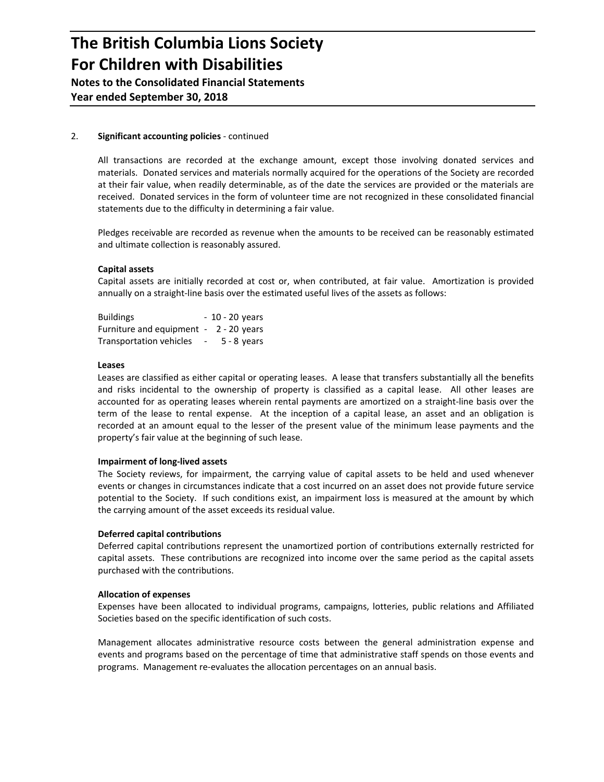### **Notes to the Consolidated Financial Statements Year ended September 30, 2018**

#### 2. **Significant accounting policies** - continued

All transactions are recorded at the exchange amount, except those involving donated services and materials. Donated services and materials normally acquired for the operations of the Society are recorded at their fair value, when readily determinable, as of the date the services are provided or the materials are received. Donated services in the form of volunteer time are not recognized in these consolidated financial statements due to the difficulty in determining a fair value.

Pledges receivable are recorded as revenue when the amounts to be received can be reasonably estimated and ultimate collection is reasonably assured.

#### **Capital assets**

Capital assets are initially recorded at cost or, when contributed, at fair value. Amortization is provided annually on a straight-line basis over the estimated useful lives of the assets as follows:

| <b>Buildings</b>                       |            | - 10 - 20 years |
|----------------------------------------|------------|-----------------|
| Furniture and equipment - 2 - 20 years |            |                 |
| Transportation vehicles                | $\sim$ $-$ | $5 - 8$ years   |

#### **Leases**

Leases are classified as either capital or operating leases. A lease that transfers substantially all the benefits and risks incidental to the ownership of property is classified as a capital lease. All other leases are accounted for as operating leases wherein rental payments are amortized on a straight-line basis over the term of the lease to rental expense. At the inception of a capital lease, an asset and an obligation is recorded at an amount equal to the lesser of the present value of the minimum lease payments and the property's fair value at the beginning of such lease.

#### **Impairment of long-lived assets**

The Society reviews, for impairment, the carrying value of capital assets to be held and used whenever events or changes in circumstances indicate that a cost incurred on an asset does not provide future service potential to the Society. If such conditions exist, an impairment loss is measured at the amount by which the carrying amount of the asset exceeds its residual value.

#### **Deferred capital contributions**

Deferred capital contributions represent the unamortized portion of contributions externally restricted for capital assets. These contributions are recognized into income over the same period as the capital assets purchased with the contributions.

#### **Allocation of expenses**

Expenses have been allocated to individual programs, campaigns, lotteries, public relations and Affiliated Societies based on the specific identification of such costs.

Management allocates administrative resource costs between the general administration expense and events and programs based on the percentage of time that administrative staff spends on those events and programs. Management re-evaluates the allocation percentages on an annual basis.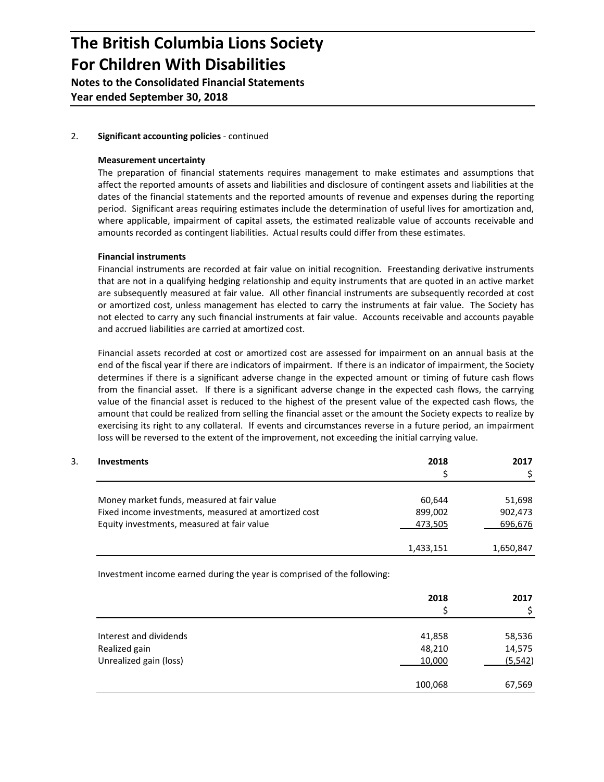### **Notes to the Consolidated Financial Statements Year ended September 30, 2018**

### 2. **Significant accounting policies** - continued

#### **Measurement uncertainty**

The preparation of financial statements requires management to make estimates and assumptions that affect the reported amounts of assets and liabilities and disclosure of contingent assets and liabilities at the dates of the financial statements and the reported amounts of revenue and expenses during the reporting period. Significant areas requiring estimates include the determination of useful lives for amortization and, where applicable, impairment of capital assets, the estimated realizable value of accounts receivable and amounts recorded as contingent liabilities. Actual results could differ from these estimates.

#### **Financial instruments**

Financial instruments are recorded at fair value on initial recognition. Freestanding derivative instruments that are not in a qualifying hedging relationship and equity instruments that are quoted in an active market are subsequently measured at fair value. All other financial instruments are subsequently recorded at cost or amortized cost, unless management has elected to carry the instruments at fair value. The Society has not elected to carry any such financial instruments at fair value. Accounts receivable and accounts payable and accrued liabilities are carried at amortized cost.

Financial assets recorded at cost or amortized cost are assessed for impairment on an annual basis at the end of the fiscal year if there are indicators of impairment. If there is an indicator of impairment, the Society determines if there is a significant adverse change in the expected amount or timing of future cash flows from the financial asset. If there is a significant adverse change in the expected cash flows, the carrying value of the financial asset is reduced to the highest of the present value of the expected cash flows, the amount that could be realized from selling the financial asset or the amount the Society expects to realize by exercising its right to any collateral. If events and circumstances reverse in a future period, an impairment loss will be reversed to the extent of the improvement, not exceeding the initial carrying value.

| <b>Investments</b>                                   | 2018      | 2017      |
|------------------------------------------------------|-----------|-----------|
|                                                      |           |           |
| Money market funds, measured at fair value           | 60,644    | 51,698    |
| Fixed income investments, measured at amortized cost | 899,002   | 902,473   |
| Equity investments, measured at fair value           | 473,505   | 696,676   |
|                                                      | 1,433,151 | 1,650,847 |

Investment income earned during the year is comprised of the following:

|                        | 2018    | 2017<br>S |
|------------------------|---------|-----------|
| Interest and dividends | 41,858  | 58,536    |
| Realized gain          | 48,210  | 14,575    |
| Unrealized gain (loss) | 10,000  | (5, 542)  |
|                        | 100,068 | 67,569    |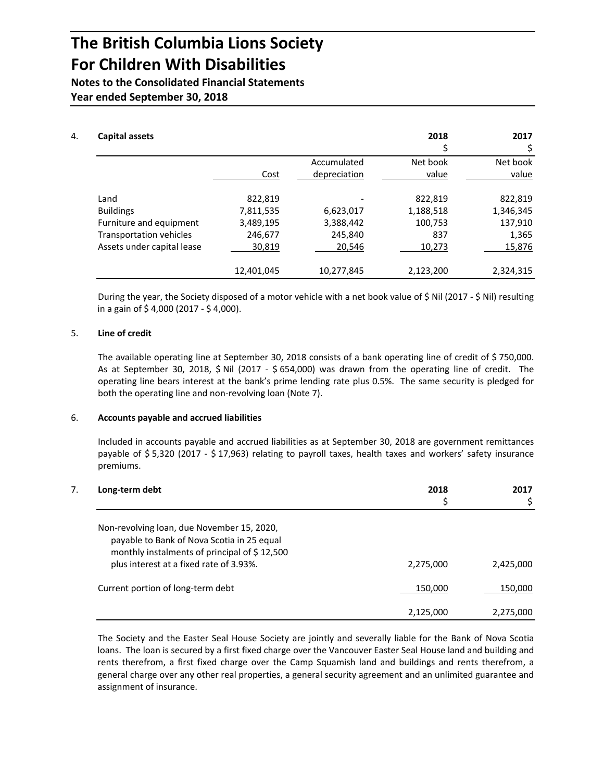**Notes to the Consolidated Financial Statements Year ended September 30, 2018** 

| Capital assets             |            |              | 2018          | 2017<br>\$ |
|----------------------------|------------|--------------|---------------|------------|
|                            |            | Accumulated  | Net book      | Net book   |
|                            | Cost       | depreciation | value         | value      |
| Land                       | 822,819    |              | 822,819       | 822,819    |
| <b>Buildings</b>           | 7,811,535  | 6,623,017    | 1,188,518     | 1,346,345  |
| Furniture and equipment    | 3,489,195  | 3,388,442    | 100,753       | 137,910    |
| Transportation vehicles    | 246,677    | 245,840      | 837           | 1,365      |
| Assets under capital lease | 30,819     | 20,546       | <u>10,273</u> | 15,876     |
|                            | 12,401,045 | 10,277,845   | 2,123,200     | 2,324,315  |

 During the year, the Society disposed of a motor vehicle with a net book value of \$ Nil (2017 - \$ Nil) resulting in a gain of \$ 4,000 (2017 - \$ 4,000).

#### 5. **Line of credit**

The available operating line at September 30, 2018 consists of a bank operating line of credit of \$750,000. As at September 30, 2018, \$ Nil (2017 - \$ 654,000) was drawn from the operating line of credit. The operating line bears interest at the bank's prime lending rate plus 0.5%. The same security is pledged for both the operating line and non-revolving loan (Note 7).

#### 6. **Accounts payable and accrued liabilities**

Included in accounts payable and accrued liabilities as at September 30, 2018 are government remittances payable of \$ 5,320 (2017 - \$ 17,963) relating to payroll taxes, health taxes and workers' safety insurance premiums.

| Long-term debt                                                                                                                                                                      | 2018      | 2017      |
|-------------------------------------------------------------------------------------------------------------------------------------------------------------------------------------|-----------|-----------|
| Non-revolving loan, due November 15, 2020,<br>payable to Bank of Nova Scotia in 25 equal<br>monthly instalments of principal of \$12,500<br>plus interest at a fixed rate of 3.93%. | 2,275,000 | 2,425,000 |
| Current portion of long-term debt                                                                                                                                                   | 150,000   | 150,000   |
|                                                                                                                                                                                     | 2,125,000 | 2,275,000 |

 The Society and the Easter Seal House Society are jointly and severally liable for the Bank of Nova Scotia loans. The loan is secured by a first fixed charge over the Vancouver Easter Seal House land and building and rents therefrom, a first fixed charge over the Camp Squamish land and buildings and rents therefrom, a general charge over any other real properties, a general security agreement and an unlimited guarantee and assignment of insurance.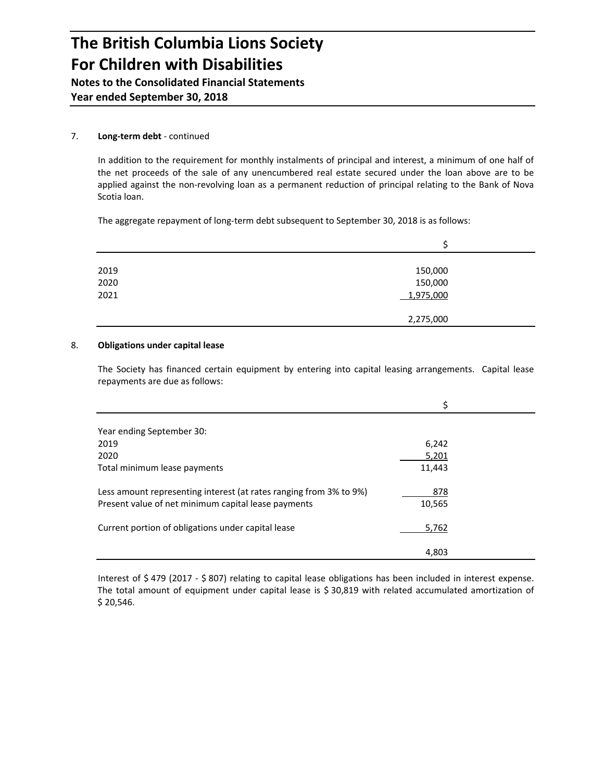### **Notes to the Consolidated Financial Statements Year ended September 30, 2018**

#### 7. **Long-term debt** - continued

 In addition to the requirement for monthly instalments of principal and interest, a minimum of one half of the net proceeds of the sale of any unencumbered real estate secured under the loan above are to be applied against the non-revolving loan as a permanent reduction of principal relating to the Bank of Nova Scotia loan.

The aggregate repayment of long-term debt subsequent to September 30, 2018 is as follows:

| 2019<br>2020 | 150,000<br>150,000<br><u>1,975,000</u> |      | ب |
|--------------|----------------------------------------|------|---|
|              |                                        |      |   |
|              |                                        |      |   |
|              |                                        | 2021 |   |

#### 8. **Obligations under capital lease**

The Society has financed certain equipment by entering into capital leasing arrangements. Capital lease repayments are due as follows:

| Year ending September 30:                                          |        |  |
|--------------------------------------------------------------------|--------|--|
| 2019                                                               | 6,242  |  |
| 2020                                                               | 5,201  |  |
| Total minimum lease payments                                       | 11,443 |  |
| Less amount representing interest (at rates ranging from 3% to 9%) | 878    |  |
| Present value of net minimum capital lease payments                | 10,565 |  |
| Current portion of obligations under capital lease                 | 5,762  |  |
|                                                                    | 4,803  |  |

 Interest of \$ 479 (2017 - \$ 807) relating to capital lease obligations has been included in interest expense. The total amount of equipment under capital lease is \$ 30,819 with related accumulated amortization of \$ 20,546.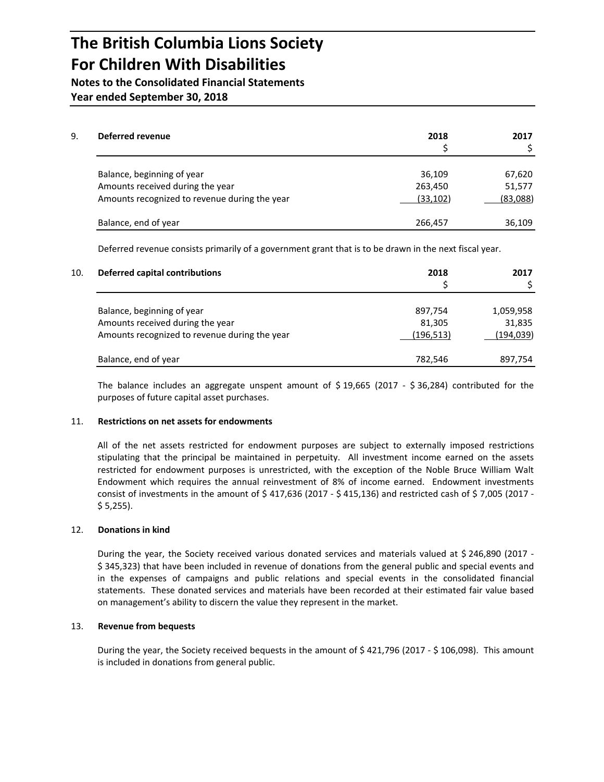### **Notes to the Consolidated Financial Statements**

**Year ended September 30, 2018** 

| Deferred revenue                              | 2018      | 2017     |
|-----------------------------------------------|-----------|----------|
|                                               |           |          |
| Balance, beginning of year                    | 36,109    | 67,620   |
| Amounts received during the year              | 263,450   | 51,577   |
| Amounts recognized to revenue during the year | (33, 102) | (83,088) |
| Balance, end of year                          | 266,457   | 36.109   |

Deferred revenue consists primarily of a government grant that is to be drawn in the next fiscal year.

| Deferred capital contributions                | 2018       | 2017       |
|-----------------------------------------------|------------|------------|
| Balance, beginning of year                    | 897,754    | 1,059,958  |
| Amounts received during the year              | 81,305     | 31,835     |
| Amounts recognized to revenue during the year | (196, 513) | (194, 039) |
| Balance, end of year                          | 782,546    | 897,754    |

The balance includes an aggregate unspent amount of  $$19,665$  (2017 -  $$36,284$ ) contributed for the purposes of future capital asset purchases.

#### 11. **Restrictions on net assets for endowments**

All of the net assets restricted for endowment purposes are subject to externally imposed restrictions stipulating that the principal be maintained in perpetuity. All investment income earned on the assets restricted for endowment purposes is unrestricted, with the exception of the Noble Bruce William Walt Endowment which requires the annual reinvestment of 8% of income earned. Endowment investments consist of investments in the amount of \$ 417,636 (2017 - \$ 415,136) and restricted cash of \$ 7,005 (2017 -  $$ 5,255$ ).

#### 12. **Donations in kind**

During the year, the Society received various donated services and materials valued at \$ 246,890 (2017 - \$ 345,323) that have been included in revenue of donations from the general public and special events and in the expenses of campaigns and public relations and special events in the consolidated financial statements. These donated services and materials have been recorded at their estimated fair value based on management's ability to discern the value they represent in the market.

#### 13. **Revenue from bequests**

During the year, the Society received bequests in the amount of \$ 421,796 (2017 - \$ 106,098). This amount is included in donations from general public.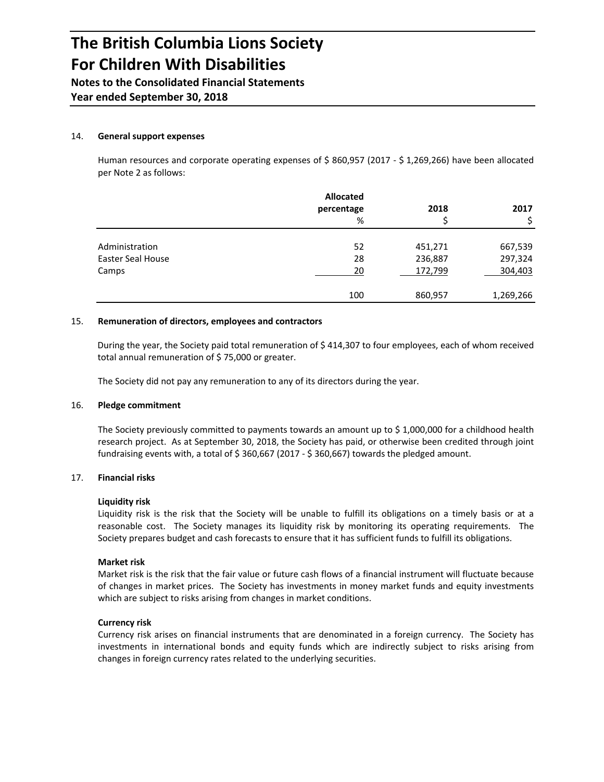### **Notes to the Consolidated Financial Statements**

**Year ended September 30, 2018** 

#### 14. **General support expenses**

Human resources and corporate operating expenses of \$ 860,957 (2017 - \$ 1,269,266) have been allocated per Note 2 as follows:

|                          | <b>Allocated</b><br>percentage<br>% | 2018    | 2017<br>\$ |
|--------------------------|-------------------------------------|---------|------------|
| Administration           | 52                                  | 451,271 | 667,539    |
| <b>Easter Seal House</b> | 28                                  | 236,887 | 297,324    |
| Camps                    | 20                                  | 172,799 | 304,403    |
|                          | 100                                 | 860,957 | 1,269,266  |

#### 15. **Remuneration of directors, employees and contractors**

 During the year, the Society paid total remuneration of \$ 414,307 to four employees, each of whom received total annual remuneration of \$ 75,000 or greater.

The Society did not pay any remuneration to any of its directors during the year.

#### 16. **Pledge commitment**

The Society previously committed to payments towards an amount up to \$ 1,000,000 for a childhood health research project. As at September 30, 2018, the Society has paid, or otherwise been credited through joint fundraising events with, a total of \$ 360,667 (2017 - \$ 360,667) towards the pledged amount.

#### 17. **Financial risks**

#### **Liquidity risk**

Liquidity risk is the risk that the Society will be unable to fulfill its obligations on a timely basis or at a reasonable cost. The Society manages its liquidity risk by monitoring its operating requirements. The Society prepares budget and cash forecasts to ensure that it has sufficient funds to fulfill its obligations.

#### **Market risk**

Market risk is the risk that the fair value or future cash flows of a financial instrument will fluctuate because of changes in market prices. The Society has investments in money market funds and equity investments which are subject to risks arising from changes in market conditions.

#### **Currency risk**

Currency risk arises on financial instruments that are denominated in a foreign currency. The Society has investments in international bonds and equity funds which are indirectly subject to risks arising from changes in foreign currency rates related to the underlying securities.